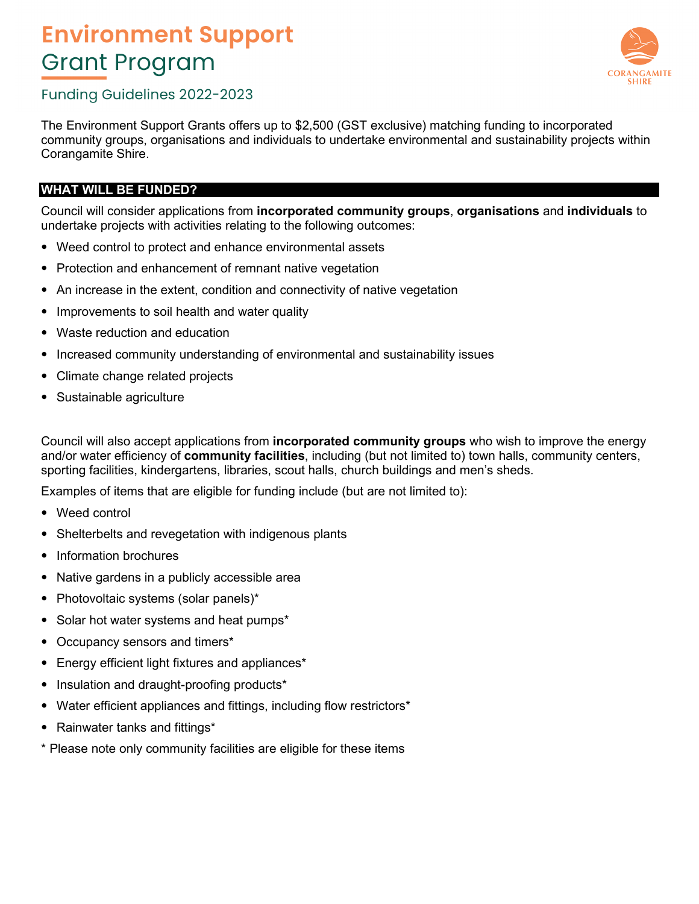

## Funding Guidelines 2022-2023

The Environment Support Grants offers up to \$2,500 (GST exclusive) matching funding to incorporated community groups, organisations and individuals to undertake environmental and sustainability projects within Corangamite Shire.

### **WHAT WILL BE FUNDED?**

Council will consider applications from **incorporated community groups**, **organisations** and **individuals** to undertake projects with activities relating to the following outcomes:

- Weed control to protect and enhance environmental assets
- Protection and enhancement of remnant native vegetation
- An increase in the extent, condition and connectivity of native vegetation
- Improvements to soil health and water quality
- Waste reduction and education
- Increased community understanding of environmental and sustainability issues
- Climate change related projects
- Sustainable agriculture

Council will also accept applications from **incorporated community groups** who wish to improve the energy and/or water efficiency of **community facilities**, including (but not limited to) town halls, community centers, sporting facilities, kindergartens, libraries, scout halls, church buildings and men's sheds.

Examples of items that are eligible for funding include (but are not limited to):

- Weed control
- Shelterbelts and revegetation with indigenous plants
- Information brochures
- Native gardens in a publicly accessible area
- Photovoltaic systems (solar panels)\*
- Solar hot water systems and heat pumps\*
- Occupancy sensors and timers\*
- Energy efficient light fixtures and appliances\*
- Insulation and draught-proofing products\*
- Water efficient appliances and fittings, including flow restrictors\*
- Rainwater tanks and fittings\*
- \* Please note only community facilities are eligible for these items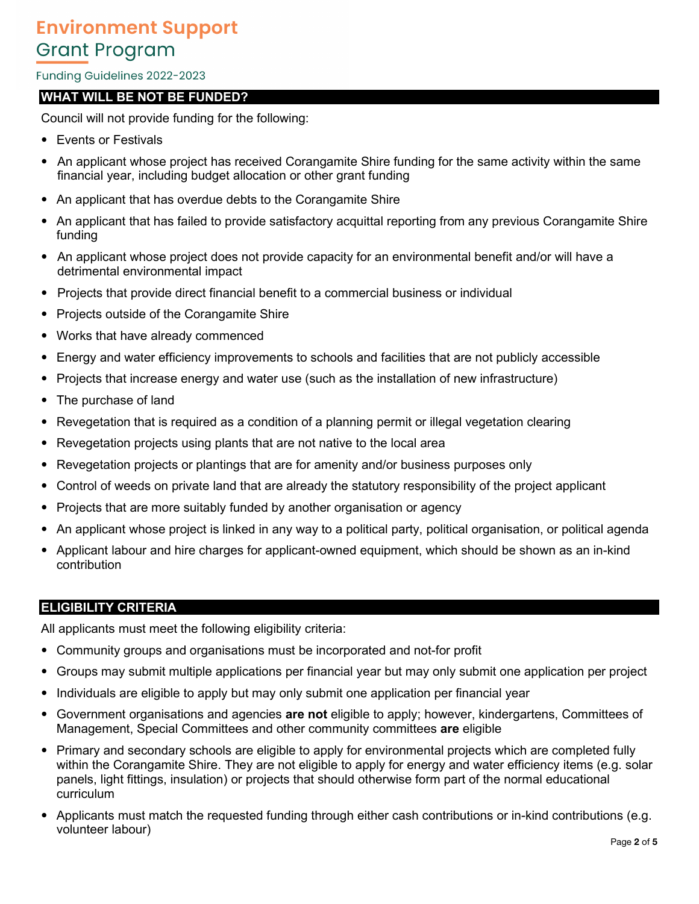#### Funding Guidelines 2022-2023

### **WHAT WILL BE NOT BE FUNDED?**

Council will not provide funding for the following:

- Events or Festivals
- An applicant whose project has received Corangamite Shire funding for the same activity within the same financial year, including budget allocation or other grant funding
- An applicant that has overdue debts to the Corangamite Shire
- An applicant that has failed to provide satisfactory acquittal reporting from any previous Corangamite Shire funding
- An applicant whose project does not provide capacity for an environmental benefit and/or will have a detrimental environmental impact
- Projects that provide direct financial benefit to a commercial business or individual
- Projects outside of the Corangamite Shire
- Works that have already commenced
- Energy and water efficiency improvements to schools and facilities that are not publicly accessible
- Projects that increase energy and water use (such as the installation of new infrastructure)
- The purchase of land
- Revegetation that is required as a condition of a planning permit or illegal vegetation clearing
- Revegetation projects using plants that are not native to the local area
- Revegetation projects or plantings that are for amenity and/or business purposes only
- Control of weeds on private land that are already the statutory responsibility of the project applicant
- Projects that are more suitably funded by another organisation or agency
- An applicant whose project is linked in any way to a political party, political organisation, or political agenda
- Applicant labour and hire charges for applicant-owned equipment, which should be shown as an in-kind contribution

#### **ELIGIBILITY CRITERIA**

All applicants must meet the following eligibility criteria:

- Community groups and organisations must be incorporated and not-for profit
- Groups may submit multiple applications per financial year but may only submit one application per project
- Individuals are eligible to apply but may only submit one application per financial year
- Government organisations and agencies **are not** eligible to apply; however, kindergartens, Committees of Management, Special Committees and other community committees **are** eligible
- Primary and secondary schools are eligible to apply for environmental projects which are completed fully within the Corangamite Shire. They are not eligible to apply for energy and water efficiency items (e.g. solar panels, light fittings, insulation) or projects that should otherwise form part of the normal educational curriculum
- Applicants must match the requested funding through either cash contributions or in-kind contributions (e.g. volunteer labour)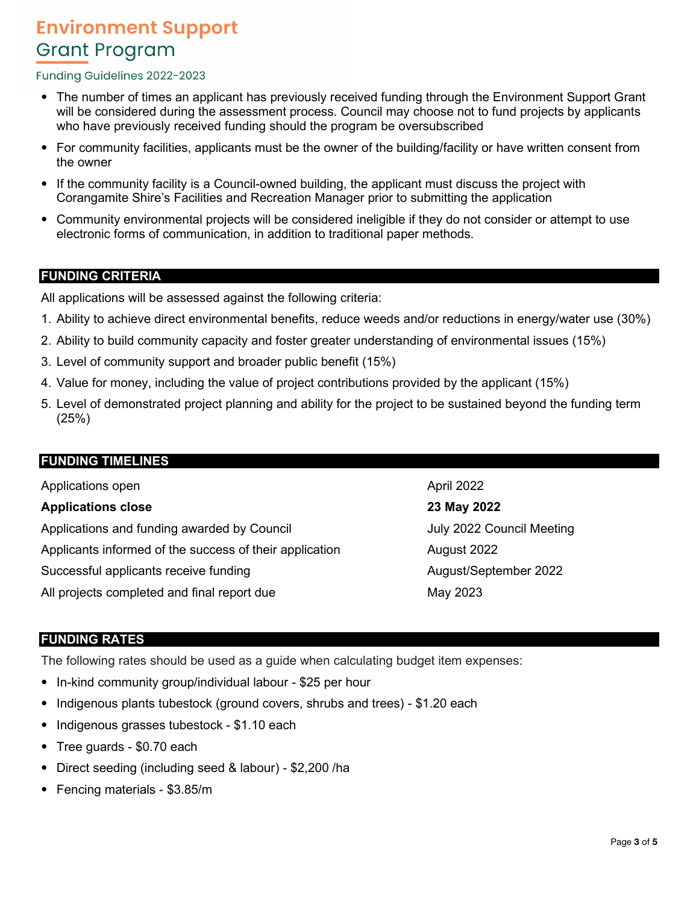#### Funding Guidelines 2022-2023

- The number of times an applicant has previously received funding through the Environment Support Grant will be considered during the assessment process. Council may choose not to fund projects by applicants who have previously received funding should the program be oversubscribed
- For community facilities, applicants must be the owner of the building/facility or have written consent from the owner
- If the community facility is a Council-owned building, the applicant must discuss the project with Corangamite Shire's Facilities and Recreation Manager prior to submitting the application
- Community environmental projects will be considered ineligible if they do not consider or attempt to use electronic forms of communication, in addition to traditional paper methods.

### **FUNDING CRITERIA**

All applications will be assessed against the following criteria:

- 1. Ability to achieve direct environmental benefits, reduce weeds and/or reductions in energy/water use (30%)
- 2. Ability to build community capacity and foster greater understanding of environmental issues (15%)
- 3. Level of community support and broader public benefit (15%)
- 4. Value for money, including the value of project contributions provided by the applicant (15%)
- 5. Level of demonstrated project planning and ability for the project to be sustained beyond the funding term (25%)

#### **FUNDING TIMELINES**

Applications open **Applications** open **Applications** open **Applications** open **Applications Applications Applications Applications Applications Applications Applications Applications Applications Applicat** 

#### **Applications close 23 May 2022**

Applications and funding awarded by Council **Algebrary 10 and Strutter July 2022 Council Meeting** Applicants informed of the success of their application **August 2022** Successful applicants receive funding and all the metal and August/September 2022 All projects completed and final report due May 2023

#### **FUNDING RATES**

The following rates should be used as a guide when calculating budget item expenses:

- In-kind community group/individual labour \$25 per hour
- Indigenous plants tubestock (ground covers, shrubs and trees) \$1.20 each
- Indigenous grasses tubestock \$1.10 each
- Tree guards \$0.70 each
- Direct seeding (including seed & labour) \$2,200 /ha
- Fencing materials \$3.85/m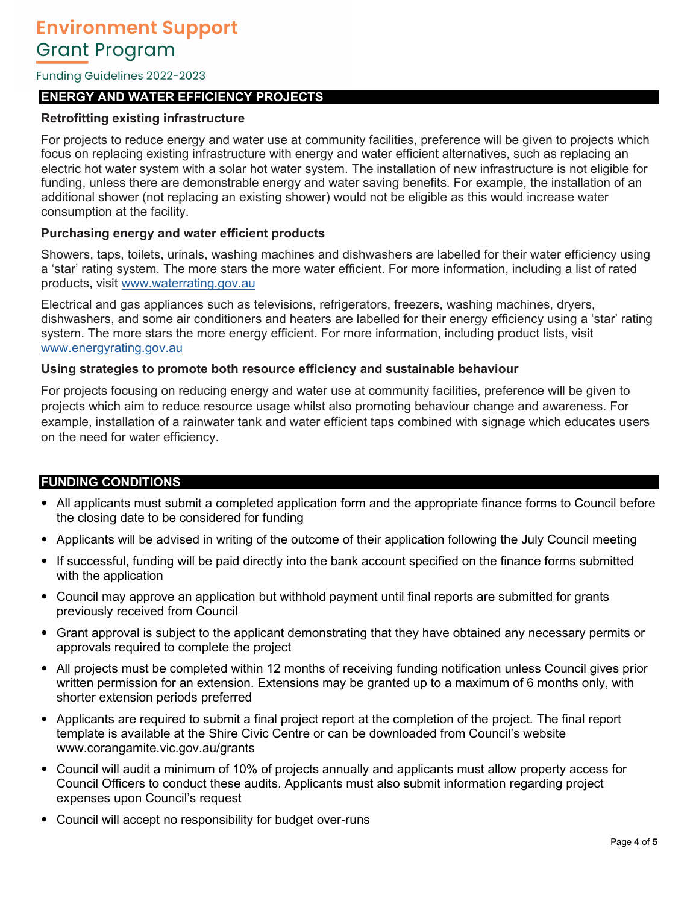Funding Guidelines 2022-2023

### **ENERGY AND WATER EFFICIENCY PROJECTS**

#### **Retrofitting existing infrastructure**

For projects to reduce energy and water use at community facilities, preference will be given to projects which focus on replacing existing infrastructure with energy and water efficient alternatives, such as replacing an electric hot water system with a solar hot water system. The installation of new infrastructure is not eligible for funding, unless there are demonstrable energy and water saving benefits. For example, the installation of an additional shower (not replacing an existing shower) would not be eligible as this would increase water consumption at the facility.

#### **Purchasing energy and water efficient products**

Showers, taps, toilets, urinals, washing machines and dishwashers are labelled for their water efficiency using a 'star' rating system. The more stars the more water efficient. For more information, including a list of rated products, visit www.waterrating.gov.au

Electrical and gas appliances such as televisions, refrigerators, freezers, washing machines, dryers, dishwashers, and some air conditioners and heaters are labelled for their energy efficiency using a 'star' rating system. The more stars the more energy efficient. For more information, including product lists, visit www.energyrating.gov.au

#### **Using strategies to promote both resource efficiency and sustainable behaviour**

For projects focusing on reducing energy and water use at community facilities, preference will be given to projects which aim to reduce resource usage whilst also promoting behaviour change and awareness. For example, installation of a rainwater tank and water efficient taps combined with signage which educates users on the need for water efficiency.

#### **FUNDING CONDITIONS**

- All applicants must submit a completed application form and the appropriate finance forms to Council before the closing date to be considered for funding
- Applicants will be advised in writing of the outcome of their application following the July Council meeting
- If successful, funding will be paid directly into the bank account specified on the finance forms submitted with the application
- Council may approve an application but withhold payment until final reports are submitted for grants previously received from Council
- Grant approval is subject to the applicant demonstrating that they have obtained any necessary permits or approvals required to complete the project
- All projects must be completed within 12 months of receiving funding notification unless Council gives prior written permission for an extension. Extensions may be granted up to a maximum of 6 months only, with shorter extension periods preferred
- Applicants are required to submit a final project report at the completion of the project. The final report template is available at the Shire Civic Centre or can be downloaded from Council's website www.corangamite.vic.gov.au/grants
- Council will audit a minimum of 10% of projects annually and applicants must allow property access for Council Officers to conduct these audits. Applicants must also submit information regarding project expenses upon Council's request
- Council will accept no responsibility for budget over-runs